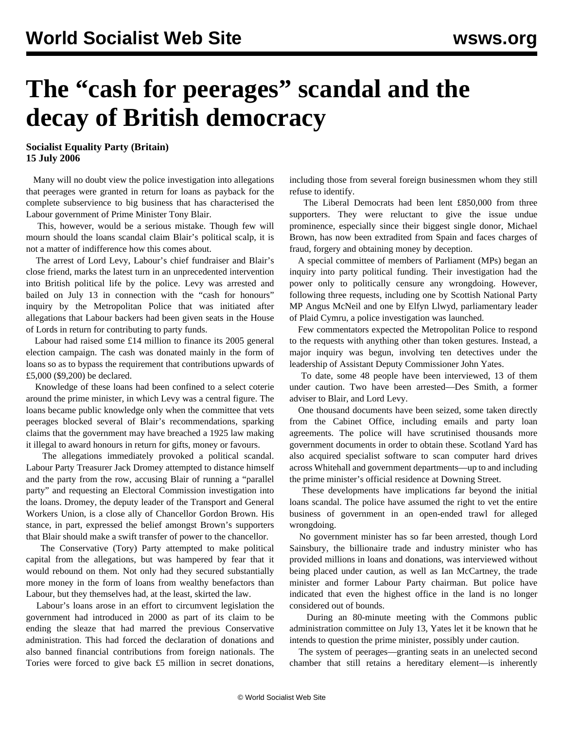## **The "cash for peerages" scandal and the decay of British democracy**

**Socialist Equality Party (Britain) 15 July 2006**

 Many will no doubt view the police investigation into allegations that peerages were granted in return for loans as payback for the complete subservience to big business that has characterised the Labour government of Prime Minister Tony Blair.

 This, however, would be a serious mistake. Though few will mourn should the loans scandal claim Blair's political scalp, it is not a matter of indifference how this comes about.

 The arrest of Lord Levy, Labour's chief fundraiser and Blair's close friend, marks the latest turn in an unprecedented intervention into British political life by the police. Levy was arrested and bailed on July 13 in connection with the "cash for honours" inquiry by the Metropolitan Police that was initiated after allegations that Labour backers had been given seats in the House of Lords in return for contributing to party funds.

 Labour had raised some £14 million to finance its 2005 general election campaign. The cash was donated mainly in the form of loans so as to bypass the requirement that contributions upwards of £5,000 (\$9,200) be declared.

 Knowledge of these loans had been confined to a select coterie around the prime minister, in which Levy was a central figure. The loans became public knowledge only when the committee that vets peerages blocked several of Blair's recommendations, sparking claims that the government may have breached a 1925 law making it illegal to award honours in return for gifts, money or favours.

 The allegations immediately provoked a political scandal. Labour Party Treasurer Jack Dromey attempted to distance himself and the party from the row, accusing Blair of running a "parallel party" and requesting an Electoral Commission investigation into the loans. Dromey, the deputy leader of the Transport and General Workers Union, is a close ally of Chancellor Gordon Brown. His stance, in part, expressed the belief amongst Brown's supporters that Blair should make a swift transfer of power to the chancellor.

 The Conservative (Tory) Party attempted to make political capital from the allegations, but was hampered by fear that it would rebound on them. Not only had they secured substantially more money in the form of loans from wealthy benefactors than Labour, but they themselves had, at the least, skirted the law.

 Labour's loans arose in an effort to circumvent legislation the government had introduced in 2000 as part of its claim to be ending the sleaze that had marred the previous Conservative administration. This had forced the declaration of donations and also banned financial contributions from foreign nationals. The Tories were forced to give back £5 million in secret donations, including those from several foreign businessmen whom they still refuse to identify.

 The Liberal Democrats had been lent £850,000 from three supporters. They were reluctant to give the issue undue prominence, especially since their biggest single donor, Michael Brown, has now been extradited from Spain and faces charges of fraud, forgery and obtaining money by deception.

 A special committee of members of Parliament (MPs) began an inquiry into party political funding. Their investigation had the power only to politically censure any wrongdoing. However, following three requests, including one by Scottish National Party MP Angus McNeil and one by Elfyn Llwyd, parliamentary leader of Plaid Cymru, a police investigation was launched.

 Few commentators expected the Metropolitan Police to respond to the requests with anything other than token gestures. Instead, a major inquiry was begun, involving ten detectives under the leadership of Assistant Deputy Commissioner John Yates.

 To date, some 48 people have been interviewed, 13 of them under caution. Two have been arrested—Des Smith, a former adviser to Blair, and Lord Levy.

 One thousand documents have been seized, some taken directly from the Cabinet Office, including emails and party loan agreements. The police will have scrutinised thousands more government documents in order to obtain these. Scotland Yard has also acquired specialist software to scan computer hard drives across Whitehall and government departments—up to and including the prime minister's official residence at Downing Street.

 These developments have implications far beyond the initial loans scandal. The police have assumed the right to vet the entire business of government in an open-ended trawl for alleged wrongdoing.

 No government minister has so far been arrested, though Lord Sainsbury, the billionaire trade and industry minister who has provided millions in loans and donations, was interviewed without being placed under caution, as well as Ian McCartney, the trade minister and former Labour Party chairman. But police have indicated that even the highest office in the land is no longer considered out of bounds.

 During an 80-minute meeting with the Commons public administration committee on July 13, Yates let it be known that he intends to question the prime minister, possibly under caution.

 The system of peerages—granting seats in an unelected second chamber that still retains a hereditary element—is inherently